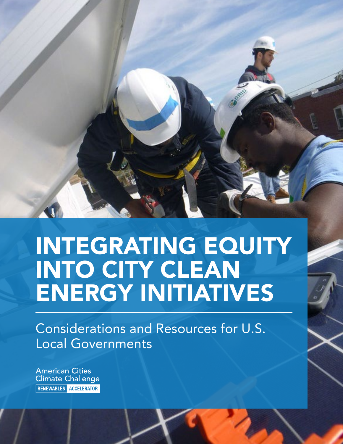

# INTEGRATING EQUITY INTO CITY CLEAN ENERGY INITIATIVES

Considerations and Resources for U.S. Local Governments

**American Cities Climate Challenge** RENEWABLES ACCELERATOR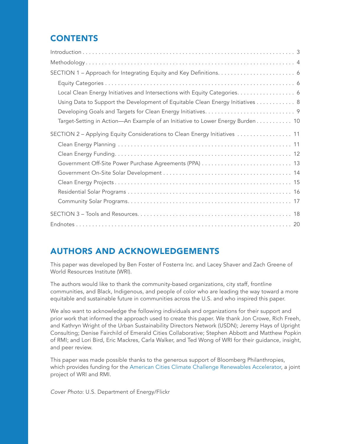# **CONTENTS**

| Local Clean Energy Initiatives and Intersections with Equity Categories. 6<br>Using Data to Support the Development of Equitable Clean Energy Initiatives 8 |
|-------------------------------------------------------------------------------------------------------------------------------------------------------------|
| Target-Setting in Action-An Example of an Initiative to Lower Energy Burden 10                                                                              |
| SECTION 2 - Applying Equity Considerations to Clean Energy Initiatives  11                                                                                  |
|                                                                                                                                                             |
|                                                                                                                                                             |
|                                                                                                                                                             |

# AUTHORS AND ACKNOWLEDGEMENTS

This paper was developed by Ben Foster of Fosterra Inc. and Lacey Shaver and Zach Greene of World Resources Institute (WRI).

The authors would like to thank the community-based organizations, city staff, frontline communities, and Black, Indigenous, and people of color who are leading the way toward a more equitable and sustainable future in communities across the U.S. and who inspired this paper.

We also want to acknowledge the following individuals and organizations for their support and prior work that informed the approach used to create this paper. We thank Jon Crowe, Rich Freeh, and Kathryn Wright of the Urban Sustainability Directors Network (USDN); Jeremy Hays of Upright Consulting; Denise Fairchild of Emerald Cities Collaborative; Stephen Abbott and Matthew Popkin of RMI; and Lori Bird, Eric Mackres, Carla Walker, and Ted Wong of WRI for their guidance, insight, and peer review.

This paper was made possible thanks to the generous support of Bloomberg Philanthropies, which provides funding for the [American Cities Climate Challenge Renewables Accelerator,](https://cityrenewables.org/) a joint project of WRI and RMI.

*Cover Photo*: U.S. Department of Energy/Flickr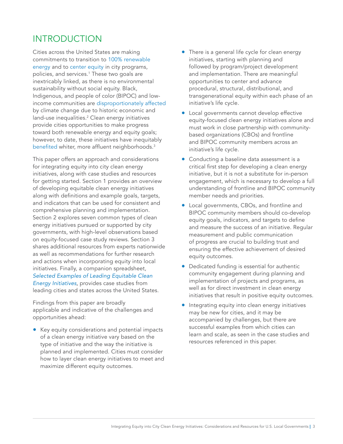# <span id="page-2-0"></span>INTRODUCTION

Cities across the United States are making commitments to transition to [100% renewable](https://www.sierraclub.org/ready-for-100/commitments)  [energy](https://www.sierraclub.org/ready-for-100/commitments) and to [center equity](https://www.nlc.org/resource/repository-of-city-racial-equity-policies-and-decisions/) in city programs, policies, and services.<sup>1</sup> These two goals are inextricably linked, as there is no environmental sustainability without social equity. Black, Indigenous, and people of color (BIPOC) and lowincome communities are [disproportionately affected](https://www.epa.gov/system/files/documents/2021-09/climate-vulnerability_september-2021_508.pdf) by climate change due to historic economic and land-use inequalities.<sup>2</sup> Clean energy initiatives provide cities opportunities to make progress toward both renewable energy and equity goals; however, to date, these initiatives have inequitably [benefited](https://www.scientificamerican.com/article/solar-powers-benefits-dont-shine-equally-on-everyone/) whiter, more affluent neighborhoods.<sup>3</sup>

This paper offers an approach and considerations for integrating equity into city clean energy initiatives, along with case studies and resources for getting started. Section 1 provides an overview of developing equitable clean energy initiatives along with definitions and example goals, targets, and indicators that can be used for consistent and comprehensive planning and implementation. Section 2 explores seven common types of clean energy initiatives pursued or supported by city governments, with high-level observations based on equity-focused case study reviews. Section 3 shares additional resources from experts nationwide as well as recommendations for further research and actions when incorporating equity into local initiatives. Finally, a companion spreadsheet, *[Selected Examples of Leading Equitable Clean](https://cityrenewables.org/resources/selected-examples-of-leading-equitable-clean-energy-initiatives)  [Energy Initiatives,](https://cityrenewables.org/resources/selected-examples-of-leading-equitable-clean-energy-initiatives)* provides case studies from leading cities and states across the United States.

Findings from this paper are broadly applicable and indicative of the challenges and opportunities ahead:

• Key equity considerations and potential impacts of a clean energy initiative vary based on the type of initiative and the way the initiative is planned and implemented. Cities must consider how to layer clean energy initiatives to meet and maximize different equity outcomes.

- There is a general life cycle for clean energy initiatives, starting with planning and followed by program/project development and implementation. There are meaningful opportunities to center and advance procedural, structural, distributional, and transgenerational equity within each phase of an initiative's life cycle.
- Local governments cannot develop effective equity-focused clean energy initiatives alone and must work in close partnership with communitybased organizations (CBOs) and frontline and BIPOC community members across an initiative's life cycle.
- Conducting a baseline data assessment is a critical first step for developing a clean energy initiative, but it is not a substitute for in-person engagement, which is necessary to develop a full understanding of frontline and BIPOC community member needs and priorities.
- Local governments, CBOs, and frontline and BIPOC community members should co-develop equity goals, indicators, and targets to define and measure the success of an initiative. Regular measurement and public communication of progress are crucial to building trust and ensuring the effective achievement of desired equity outcomes.
- Dedicated funding is essential for authentic community engagement during planning and implementation of projects and programs, as well as for direct investment in clean energy initiatives that result in positive equity outcomes.
- Integrating equity into clean energy initiatives may be new for cities, and it may be accompanied by challenges, but there are successful examples from which cities can learn and scale, as seen in the case studies and resources referenced in this paper.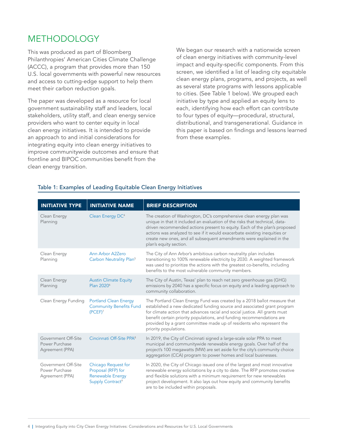# <span id="page-3-0"></span>METHODOLOGY

This was produced as part of Bloomberg Philanthropies' American Cities Climate Challenge (ACCC), a program that provides more than 150 U.S. local governments with powerful new resources and access to cutting-edge support to help them meet their carbon reduction goals.

The paper was developed as a resource for local government sustainability staff and leaders, local stakeholders, utility staff, and clean energy service providers who want to center equity in local clean energy initiatives. It is intended to provide an approach to and initial considerations for integrating equity into clean energy initiatives to improve communitywide outcomes and ensure that frontline and BIPOC communities benefit from the clean energy transition.

We began our research with a nationwide screen of clean energy initiatives with community-level impact and equity-specific components. From this screen, we identified a list of leading city equitable clean energy plans, programs, and projects, as well as several state programs with lessons applicable to cities. (See Table 1 below). We grouped each initiative by type and applied an equity lens to each, identifying how each effort can contribute to four types of equity—procedural, structural, distributional, and transgenerational. Guidance in this paper is based on findings and lessons learned from these examples.

| <b>INITIATIVE TYPE</b>                                   | <b>INITIATIVE NAME</b>                                                                        | <b>BRIEF DESCRIPTION</b>                                                                                                                                                                                                                                                                                                                                                                                        |
|----------------------------------------------------------|-----------------------------------------------------------------------------------------------|-----------------------------------------------------------------------------------------------------------------------------------------------------------------------------------------------------------------------------------------------------------------------------------------------------------------------------------------------------------------------------------------------------------------|
| Clean Energy<br>Planning                                 | Clean Energy DC <sup>4</sup>                                                                  | The creation of Washington, DC's comprehensive clean energy plan was<br>unique in that it included an evaluation of the risks that technical, data-<br>driven recommended actions present to equity. Each of the plan's proposed<br>actions was analyzed to see if it would exacerbate existing inequities or<br>create new ones, and all subsequent amendments were explained in the<br>plan's equity section. |
| Clean Energy<br>Planning                                 | Ann Arbor A2Zero<br>Carbon Neutrality Plan <sup>5</sup>                                       | The City of Ann Arbor's ambitious carbon neutrality plan includes<br>transitioning to 100% renewable electricity by 2030. A weighted framework<br>was used to prioritize the actions with the greatest co-benefits, including<br>benefits to the most vulnerable community members.                                                                                                                             |
| Clean Energy<br>Planning                                 | <b>Austin Climate Equity</b><br>Plan 2020 <sup>6</sup>                                        | The City of Austin, Texas' plan to reach net zero greenhouse gas (GHG)<br>emissions by 2040 has a specific focus on equity and a leading approach to<br>community collaboration.                                                                                                                                                                                                                                |
| Clean Energy Funding                                     | <b>Portland Clean Energy</b><br><b>Community Benefits Fund</b><br>(PCEPT) <sup>7</sup>        | The Portland Clean Energy Fund was created by a 2018 ballot measure that<br>established a new dedicated funding source and associated grant program<br>for climate action that advances racial and social justice. All grants must<br>benefit certain priority populations, and funding recommendations are<br>provided by a grant committee made up of residents who represent the<br>priority populations.    |
| Government Off-Site<br>Power Purchase<br>Agreement (PPA) | Cincinnati Off-Site PPA <sup>8</sup>                                                          | In 2019, the City of Cincinnati signed a large-scale solar PPA to meet<br>municipal and communitywide renewable energy goals. Over half of the<br>project's 100 megawatts (MW) are set aside for the city's community choice<br>aggregation (CCA) program to power homes and local businesses.                                                                                                                  |
| Government Off-Site<br>Power Purchase<br>Agreement (PPA) | Chicago Request for<br>Proposal (RFP) for<br>Renewable Energy<br>Supply Contract <sup>9</sup> | In 2020, the City of Chicago issued one of the largest and most innovative<br>renewable energy solicitations by a city to date. The RFP promotes creative<br>and flexible solutions with a minimum requirement for new renewables<br>project development. It also lays out how equity and community benefits<br>are to be included within proposals.                                                            |

#### Table 1: Examples of Leading Equitable Clean Energy Initiatives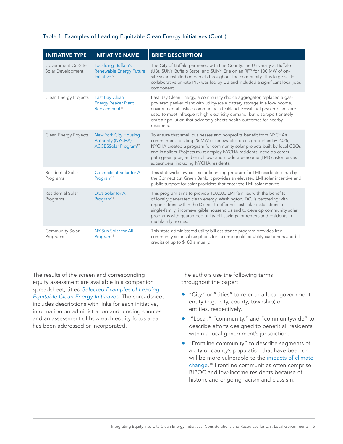| Table 1: Examples of Leading Equitable Clean Energy Initiatives (Cont.) |  |  |  |  |  |
|-------------------------------------------------------------------------|--|--|--|--|--|
|-------------------------------------------------------------------------|--|--|--|--|--|

| <b>INITIATIVE TYPE</b>                  | <b>INITIATIVE NAME</b>                                                                | <b>BRIEF DESCRIPTION</b>                                                                                                                                                                                                                                                                                                                                                                                              |
|-----------------------------------------|---------------------------------------------------------------------------------------|-----------------------------------------------------------------------------------------------------------------------------------------------------------------------------------------------------------------------------------------------------------------------------------------------------------------------------------------------------------------------------------------------------------------------|
| Government On-Site<br>Solar Development | Localizing Buffalo's<br><b>Renewable Energy Future</b><br>Initiative <sup>10</sup>    | The City of Buffalo partnered with Erie County, the University at Buffalo<br>(UB), SUNY Buffalo State, and SUNY Erie on an RFP for 100 MW of on-<br>site solar installed on parcels throughout the community. This large-scale,<br>collaborative on-site PPA was led by UB and included a significant local jobs<br>component.                                                                                        |
| Clean Energy Projects                   | <b>East Bay Clean</b><br><b>Energy Peaker Plant</b><br>Replacement <sup>11</sup>      | East Bay Clean Energy, a community choice aggregator, replaced a gas-<br>powered peaker plant with utility-scale battery storage in a low-income,<br>environmental justice community in Oakland. Fossil fuel peaker plants are<br>used to meet infrequent high electricity demand, but disproportionately<br>emit air pollution that adversely affects health outcomes for nearby<br>residents.                       |
| Clean Energy Projects                   | New York City Housing<br><b>Authority (NYCHA)</b><br>ACCESSolar Program <sup>12</sup> | To ensure that small businesses and nonprofits benefit from NYCHA's<br>commitment to siting 25 MW of renewables on its properties by 2025,<br>NYCHA created a program for community solar projects built by local CBOs<br>and installers. Projects must employ NYCHA residents, develop career-<br>path green jobs, and enroll low- and moderate-income (LMI) customers as<br>subscribers, including NYCHA residents. |
| Residential Solar<br>Programs           | <b>Connecticut Solar for All</b><br>Program <sup>13</sup>                             | This statewide low-cost solar financing program for LMI residents is run by<br>the Connecticut Green Bank. It provides an elevated LMI solar incentive and<br>public support for solar providers that enter the LMI solar market.                                                                                                                                                                                     |
| Residential Solar<br>Programs           | DC's Solar for All<br>Program <sup>14</sup>                                           | This program aims to provide 100,000 LMI families with the benefits<br>of locally generated clean energy. Washington, DC, is partnering with<br>organizations within the District to offer no-cost solar installations to<br>single-family, income-eligible households and to develop community solar<br>programs with guaranteed utility bill savings for renters and residents in<br>multifamily homes.             |
| Community Solar<br>Programs             | NY-Sun Solar for All<br>Program <sup>15</sup>                                         | This state-administered utility bill assistance program provides free<br>community solar subscriptions for income-qualified utility customers and bill<br>credits of up to \$180 annually.                                                                                                                                                                                                                            |

The results of the screen and corresponding equity assessment are available in a companion spreadsheet, titled *[Selected Examples of Leading](https://cityrenewables.org/resources/selected-examples-of-leading-equitable-clean-energy-initiatives)  [Equitable Clean Energy Initiatives](https://cityrenewables.org/resources/selected-examples-of-leading-equitable-clean-energy-initiatives)*. The spreadsheet includes descriptions with links for each initiative, information on administration and funding sources, and an assessment of how each equity focus area has been addressed or incorporated.

The authors use the following terms throughout the paper:

- "City" or "cities" to refer to a local government entity (e.g., city, county, township) or entities, respectively.
- "Local," "community," and "communitywide" to describe efforts designed to benefit all residents within a local government's jurisdiction.
- "Frontline community" to describe segments of a city or county's population that have been or will be more vulnerable to the impacts of climate [change.](https://www.epa.gov/system/files/documents/2021-09/climate-vulnerability_september-2021_508.pdf) <sup>16</sup> Frontline communities often comprise BIPOC and low-income residents because of historic and ongoing racism and classism.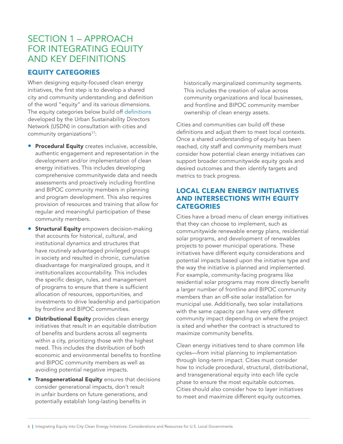# <span id="page-5-0"></span>SECTION 1 – APPROACH FOR INTEGRATING EQUITY AND KEY DEFINITIONS

## EQUITY CATEGORIES

When designing equity-focused clean energy initiatives, the first step is to develop a shared city and community understanding and definition of the word "equity" and its various dimensions. The equity categories below build off [definitions](https://www.usdn.org/uploads/cms/documents/usdn_equity_scan_sept_2014_final.pdf) developed by the Urban Sustainability Directors Network (USDN) in consultation with cities and community organizations<sup>17</sup>:

- **Procedural Equity** creates inclusive, accessible, authentic engagement and representation in the development and/or implementation of clean energy initiatives. This includes developing comprehensive communitywide data and needs assessments and proactively including frontline and BIPOC community members in planning and program development. This also requires provision of resources and training that allow for regular and meaningful participation of these community members.
- **Structural Equity** empowers decision-making that accounts for historical, cultural, and institutional dynamics and structures that have routinely advantaged privileged groups in society and resulted in chronic, cumulative disadvantage for marginalized groups, and it institutionalizes accountability. This includes the specific design, rules, and management of programs to ensure that there is sufficient allocation of resources, opportunities, and investments to drive leadership and participation by frontline and BIPOC communities.
- **Distributional Equity** provides clean energy initiatives that result in an equitable distribution of benefits and burdens across all segments within a city, prioritizing those with the highest need. This includes the distribution of both economic and environmental benefits to frontline and BIPOC community members as well as avoiding potential negative impacts.
- Transgenerational Equity ensures that decisions consider generational impacts, don't result in unfair burdens on future generations, and potentially establish long-lasting benefits in

historically marginalized community segments. This includes the creation of value across community organizations and local businesses, and frontline and BIPOC community member ownership of clean energy assets.

Cities and communities can build off these definitions and adjust them to meet local contexts. Once a shared understanding of equity has been reached, city staff and community members must consider how potential clean energy initiatives can support broader communitywide equity goals and desired outcomes and then identify targets and metrics to track progress.

## LOCAL CLEAN ENERGY INITIATIVES AND INTERSECTIONS WITH EQUITY **CATEGORIES**

Cities have a broad menu of clean energy initiatives that they can choose to implement, such as communitywide renewable energy plans, residential solar programs, and development of renewables projects to power municipal operations. These initiatives have different equity considerations and potential impacts based upon the initiative type and the way the initiative is planned and implemented. For example, community-facing programs like residential solar programs may more directly benefit a larger number of frontline and BIPOC community members than an off-site solar installation for municipal use. Additionally, two solar installations with the same capacity can have very different community impact depending on where the project is sited and whether the contract is structured to maximize community benefits.

Clean energy initiatives tend to share common life cycles—from initial planning to implementation through long-term impact. Cities must consider how to include procedural, structural, distributional, and transgenerational equity into each life cycle phase to ensure the most equitable outcomes. Cities should also consider how to layer initiatives to meet and maximize different equity outcomes.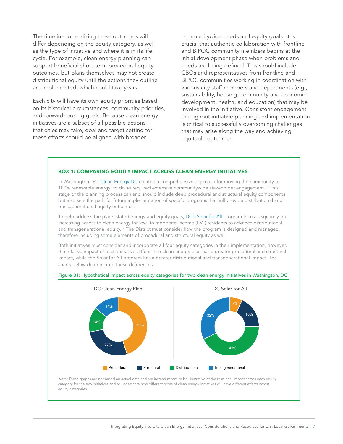The timeline for realizing these outcomes will differ depending on the equity category, as well as the type of initiative and where it is in its life cycle. For example, clean energy planning can support beneficial short-term procedural equity outcomes, but plans themselves may not create distributional equity until the actions they outline are implemented, which could take years.

Each city will have its own equity priorities based on its historical circumstances, community priorities, and forward-looking goals. Because clean energy initiatives are a subset of all possible actions that cities may take, goal and target setting for these efforts should be aligned with broader

communitywide needs and equity goals. It is crucial that authentic collaboration with frontline and BIPOC community members begins at the initial development phase when problems and needs are being defined. This should include CBOs and representatives from frontline and BIPOC communities working in coordination with various city staff members and departments (e.g., sustainability, housing, community and economic development, health, and education) that may be involved in the initiative. Consistent engagement throughout initiative planning and implementation is critical to successfully overcoming challenges that may arise along the way and achieving equitable outcomes.

#### BOX 1: COMPARING EQUITY IMPACT ACROSS CLEAN ENERGY INITIATIVES

In Washington DC, [Clean Energy DC](https://doee.dc.gov/cleanenergydc) created a comprehensive approach for moving the community to 100% renewable energy; to do so required extensive communitywide stakeholder engagement.<sup>18</sup> This stage of the planning process can and should include deep procedural and structural equity components, but also sets the path for future implementation of specific programs that will provide distributional and transgenerational equity outcomes.

To help address the plan's stated energy and equity goals, [DC's Solar for All](https://doee.dc.gov/solarforall) program focuses squarely on increasing access to clean energy for low- to moderate-income (LMI) residents to advance distributional and transgenerational equity.<sup>19</sup> The District must consider how the program is designed and managed, therefore including some elements of procedural and structural equity as well.

Both initiatives must consider and incorporate all four equity categories in their implementation, however, the relative impact of each initiative differs. The clean energy plan has a greater procedural and structural impact, while the Solar for All program has a greater distributional and transgenerational impact. The charts below demonstrate these differences.



#### Figure B1: Hypothetical impact across equity categories for two clean energy initiatives in Washington, DC

*Note:* These graphs are not based on actual data and are instead meant to be illustrative of the relational impact across each equity category for the two initiatives and to underscore how different types of clean energy initiatives will have different effects across equity categories.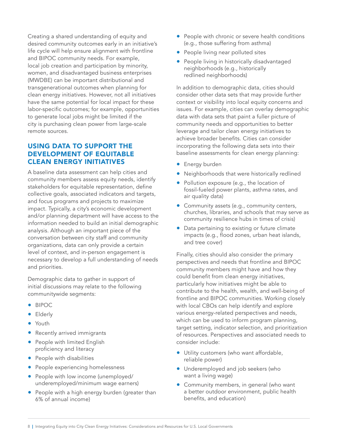<span id="page-7-0"></span>Creating a shared understanding of equity and desired community outcomes early in an initiative's life cycle will help ensure alignment with frontline and BIPOC community needs. For example, local job creation and participation by minority, women, and disadvantaged business enterprises (MWDBE) can be important distributional and transgenerational outcomes when planning for clean energy initiatives. However, not all initiatives have the same potential for local impact for these labor-specific outcomes; for example, opportunities to generate local jobs might be limited if the city is purchasing clean power from large-scale remote sources.

## USING DATA TO SUPPORT THE DEVELOPMENT OF EQUITABLE CLEAN ENERGY INITIATIVES

A baseline data assessment can help cities and community members assess equity needs, identify stakeholders for equitable representation, define collective goals, associated indicators and targets, and focus programs and projects to maximize impact. Typically, a city's economic development and/or planning department will have access to the information needed to build an initial demographic analysis. Although an important piece of the conversation between city staff and community organizations, data can only provide a certain level of context, and in-person engagement is necessary to develop a full understanding of needs and priorities.

Demographic data to gather in support of initial discussions may relate to the following communitywide segments:

- BIPOC
- Elderly
- Youth
- Recently arrived immigrants
- People with limited English proficiency and literacy
- People with disabilities
- People experiencing homelessness
- People with low income (unemployed/ underemployed/minimum wage earners)
- People with a high energy burden (greater than 6% of annual income)
- People with chronic or severe health conditions (e.g., those suffering from asthma)
- People living near polluted sites
- People living in historically disadvantaged neighborhoods (e.g., historically redlined neighborhoods)

In addition to demographic data, cities should consider other data sets that may provide further context or visibility into local equity concerns and issues. For example, cities can overlay demographic data with data sets that paint a fuller picture of community needs and opportunities to better leverage and tailor clean energy initiatives to achieve broader benefits. Cities can consider incorporating the following data sets into their baseline assessments for clean energy planning:

- **•** Energy burden
- Neighborhoods that were historically redlined
- Pollution exposure (e.g., the location of fossil-fueled power plants, asthma rates, and air quality data)
- Community assets (e.g., community centers, churches, libraries, and schools that may serve as community resilience hubs in times of crisis)
- Data pertaining to existing or future climate impacts (e.g., flood zones, urban heat islands, and tree cover)

Finally, cities should also consider the primary perspectives and needs that frontline and BIPOC community members might have and how they could benefit from clean energy initiatives, particularly how initiatives might be able to contribute to the health, wealth, and well-being of frontline and BIPOC communities. Working closely with local CBOs can help identify and explore various energy-related perspectives and needs, which can be used to inform program planning, target setting, indicator selection, and prioritization of resources. Perspectives and associated needs to consider include:

- Utility customers (who want affordable, reliable power)
- Underemployed and job seekers (who want a living wage)
- Community members, in general (who want a better outdoor environment, public health benefits, and education)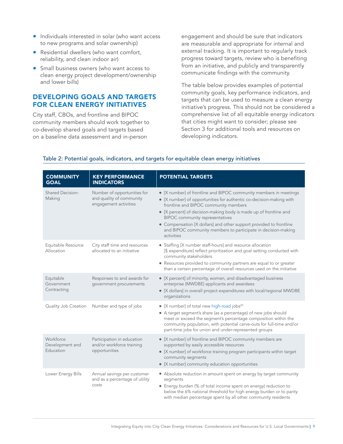- <span id="page-8-0"></span>• Individuals interested in solar (who want access to new programs and solar ownership)
- Residential dwellers (who want comfort, reliability, and clean indoor air)
- Small business owners (who want access to clean energy project development/ownership and lower bills)

### DEVELOPING GOALS AND TARGETS FOR CLEAN ENERGY INITIATIVES

City staff, CBOs, and frontline and BIPOC community members should work together to co-develop shared goals and targets based on a baseline data assessment and in-person

engagement and should be sure that indicators are measurable and appropriate for internal and external tracking. It is important to regularly track progress toward targets, review who is benefiting from an initiative, and publicly and transparently communicate findings with the community.

The table below provides examples of potential community goals, key performance indicators, and targets that can be used to measure a clean energy initiative's progress. This should not be considered a comprehensive list of all equitable energy indicators that cities might want to consider; please see Section 3 for additional tools and resources on developing indicators.

| <b>COMMUNITY</b><br><b>GOAL</b>           | <b>KEY PERFORMANCE</b><br><b>INDICATORS</b>                                      | <b>POTENTIAL TARGETS</b>                                                                                                                                                                                                                                                                                                                                                                                                                              |
|-------------------------------------------|----------------------------------------------------------------------------------|-------------------------------------------------------------------------------------------------------------------------------------------------------------------------------------------------------------------------------------------------------------------------------------------------------------------------------------------------------------------------------------------------------------------------------------------------------|
| <b>Shared Decision-</b><br>Making         | Number of opportunities for<br>and quality of community<br>engagement activities | • [X number] of frontline and BIPOC community members in meetings<br>• [X number] of opportunities for authentic co-decision-making with<br>frontline and BIPOC community members<br>• [X percent] of decision-making body is made up of frontline and<br><b>BIPOC</b> community representatives<br>• Compensation [X dollars] and other support provided to frontline<br>and BIPOC community members to participate in decision-making<br>activities |
| Equitable Resource<br>Allocation          | City staff time and resources<br>allocated to an initiative                      | • Staffing [X number staff-hours] and resource allocation<br>[\$ expenditure] reflect prioritization and goal setting conducted with<br>community stakeholders<br>• Resources provided to community partners are equal to or greater<br>than a certain percentage of overall resources used on the initiative                                                                                                                                         |
| Equitable<br>Government<br>Contracting    | Responses to and awards for<br>government procurements                           | • [X percent] of minority, women, and disadvantaged business<br>enterprise (MWDBE) applicants and awardees<br>• [X dollars] in overall project expenditures with local/regional MWDBE<br>organizations                                                                                                                                                                                                                                                |
| Quality Job Creation                      | Number and type of jobs                                                          | • [X number] of total new high-road jobs <sup>20</sup><br>• A target segment's share (as a percentage) of new jobs should<br>meet or exceed the segment's percentage composition within the<br>community population, with potential carve-outs for full-time and/or<br>part-time jobs for union and under-represented groups                                                                                                                          |
| Workforce<br>Development and<br>Education | Participation in education<br>and/or workforce training<br>opportunities         | • [X number] of frontline and BIPOC community members are<br>supported by easily accessible resources<br>• [X number] of workforce training program participants within target<br>community segments<br>• [X number] community education opportunities                                                                                                                                                                                                |
| Lower Energy Bills                        | Annual savings per customer<br>and as a percentage of utility<br>costs           | • Absolute reduction in amount spent on energy by target community<br>segments<br>• Energy burden (% of total income spent on energy) reduction to<br>below the 6% national threshold for high energy burden or to parity<br>with median percentage spent by all other community residents                                                                                                                                                            |

#### Table 2: Potential goals, indicators, and targets for equitable clean energy initiatives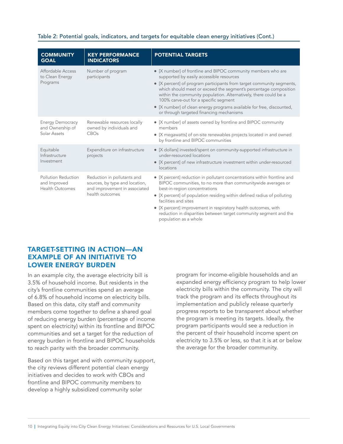#### <span id="page-9-0"></span>Table 2: Potential goals, indicators, and targets for equitable clean energy initiatives (Cont.)

| <b>COMMUNITY</b><br><b>GOAL</b>                               | <b>KEY PERFORMANCE</b><br><b>INDICATORS</b>                                                                       | <b>POTENTIAL TARGETS</b>                                                                                                                                                                                                                                                                                                                                                                                                                                                                 |
|---------------------------------------------------------------|-------------------------------------------------------------------------------------------------------------------|------------------------------------------------------------------------------------------------------------------------------------------------------------------------------------------------------------------------------------------------------------------------------------------------------------------------------------------------------------------------------------------------------------------------------------------------------------------------------------------|
| Affordable Access<br>to Clean Energy<br>Programs              | Number of program<br>participants                                                                                 | • [X number] of frontline and BIPOC community members who are<br>supported by easily accessible resources<br>• [X percent] of program participants from target community segments,<br>which should meet or exceed the segment's percentage composition<br>within the community population. Alternatively, there could be a<br>100% carve-out for a specific segment<br>• [X number] of clean energy programs available for free, discounted,<br>or through targeted financing mechanisms |
| <b>Energy Democracy</b><br>and Ownership of<br>Solar Assets   | Renewable resources locally<br>owned by individuals and<br>CBOs                                                   | • [X number] of assets owned by frontline and BIPOC community<br>members<br>• [X megawatts] of on-site renewables projects located in and owned<br>by frontline and BIPOC communities                                                                                                                                                                                                                                                                                                    |
| Equitable<br>Infrastructure<br>Investment                     | Expenditure on infrastructure<br>projects                                                                         | • [X dollars] invested/spent on community-supported infrastructure in<br>under-resourced locations<br>• [X percent] of new infrastructure investment within under-resourced<br>locations                                                                                                                                                                                                                                                                                                 |
| Pollution Reduction<br>and Improved<br><b>Health Outcomes</b> | Reduction in pollutants and<br>sources, by type and location,<br>and improvement in associated<br>health outcomes | • [X percent] reduction in pollutant concentrations within frontline and<br>BIPOC communities, to no more than communitywide averages or<br>best-in-region concentrations<br>• [X percent] of population residing within defined radius of polluting<br>facilities and sites<br>• [X percent] improvement in respiratory health outcomes, with<br>reduction in disparities between target community segment and the<br>population as a whole                                             |

#### TARGET-SETTING IN ACTION—AN EXAMPLE OF AN INITIATIVE TO LOWER ENERGY BURDEN

In an example city, the average electricity bill is 3.5% of household income. But residents in the city's frontline communities spend an average of 6.8% of household income on electricity bills. Based on this data, city staff and community members come together to define a shared goal of reducing energy burden (percentage of income spent on electricity) within its frontline and BIPOC communities and set a target for the reduction of energy burden in frontline and BIPOC households to reach parity with the broader community.

Based on this target and with community support, the city reviews different potential clean energy initiatives and decides to work with CBOs and frontline and BIPOC community members to develop a highly subsidized community solar

program for income-eligible households and an expanded energy efficiency program to help lower electricity bills within the community. The city will track the program and its effects throughout its implementation and publicly release quarterly progress reports to be transparent about whether the program is meeting its targets. Ideally, the program participants would see a reduction in the percent of their household income spent on electricity to 3.5% or less, so that it is at or below the average for the broader community.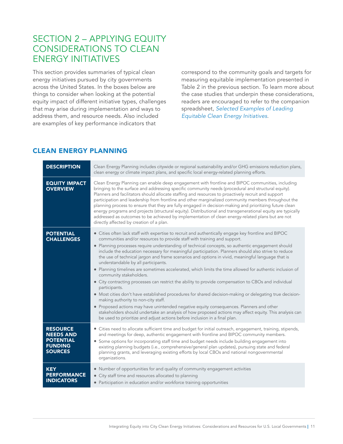# <span id="page-10-0"></span>SECTION 2 – APPLYING EQUITY CONSIDERATIONS TO CLEAN ENERGY INITIATIVES

This section provides summaries of typical clean energy initiatives pursued by city governments across the United States. In the boxes below are things to consider when looking at the potential equity impact of different initiative types, challenges that may arise during implementation and ways to address them, and resource needs. Also included are examples of key performance indicators that

correspond to the community goals and targets for measuring equitable implementation presented in Table 2 in the previous section. To learn more about the case studies that underpin these considerations, readers are encouraged to refer to the companion spreadsheet, *[Selected Examples of Leading](https://cityrenewables.org/resources/selected-examples-of-leading-equitable-clean-energy-initiatives)  [Equitable Clean Energy Initiatives](https://cityrenewables.org/resources/selected-examples-of-leading-equitable-clean-energy-initiatives)*.

## CLEAN ENERGY PLANNING

| <b>DESCRIPTION</b>                                                                          | Clean Energy Planning includes citywide or regional sustainability and/or GHG emissions reduction plans,<br>clean energy or climate impact plans, and specific local energy-related planning efforts.                                                                                                                                                                                                                                                                                                                                                                                                                                                                                                                                                                                                                                                                                                                                                                                                                                                                                                                                                                                                                                        |
|---------------------------------------------------------------------------------------------|----------------------------------------------------------------------------------------------------------------------------------------------------------------------------------------------------------------------------------------------------------------------------------------------------------------------------------------------------------------------------------------------------------------------------------------------------------------------------------------------------------------------------------------------------------------------------------------------------------------------------------------------------------------------------------------------------------------------------------------------------------------------------------------------------------------------------------------------------------------------------------------------------------------------------------------------------------------------------------------------------------------------------------------------------------------------------------------------------------------------------------------------------------------------------------------------------------------------------------------------|
| <b>EQUITY IMPACT</b><br><b>OVERVIEW</b>                                                     | Clean Energy Planning can enable deep engagement with frontline and BIPOC communities, including<br>bringing to the surface and addressing specific community needs (procedural and structural equity).<br>Planners and facilitators should allocate staffing and resources to proactively recruit and support<br>participation and leadership from frontline and other marginalized community members throughout the<br>planning process to ensure that they are fully engaged in decision-making and prioritizing future clean<br>energy programs and projects (structural equity). Distributional and transgenerational equity are typically<br>addressed as outcomes to be achieved by implementation of clean energy-related plans but are not<br>directly affected by creation of a plan.                                                                                                                                                                                                                                                                                                                                                                                                                                              |
| <b>POTENTIAL</b><br><b>CHALLENGES</b>                                                       | • Cities often lack staff with expertise to recruit and authentically engage key frontline and BIPOC<br>communities and/or resources to provide staff with training and support.<br>· Planning processes require understanding of technical concepts, so authentic engagement should<br>include the education necessary for meaningful participation. Planners should also strive to reduce<br>the use of technical jargon and frame scenarios and options in vivid, meaningful language that is<br>understandable by all participants.<br>• Planning timelines are sometimes accelerated, which limits the time allowed for authentic inclusion of<br>community stakeholders.<br>• City contracting processes can restrict the ability to provide compensation to CBOs and individual<br>participants.<br>• Most cities don't have established procedures for shared decision-making or delegating true decision-<br>making authority to non-city staff.<br>• Proposed actions may have unintended negative equity consequences. Planners and other<br>stakeholders should undertake an analysis of how proposed actions may affect equity. This analysis can<br>be used to prioritize and adjust actions before inclusion in a final plan. |
| <b>RESOURCE</b><br><b>NEEDS AND</b><br><b>POTENTIAL</b><br><b>FUNDING</b><br><b>SOURCES</b> | • Cities need to allocate sufficient time and budget for initial outreach, engagement, training, stipends,<br>and meetings for deep, authentic engagement with frontline and BIPOC community members.<br>• Some options for incorporating staff time and budget needs include building engagement into<br>existing planning budgets (i.e., comprehensive/general plan updates), pursuing state and federal<br>planning grants, and leveraging existing efforts by local CBOs and national nongovernmental<br>organizations.                                                                                                                                                                                                                                                                                                                                                                                                                                                                                                                                                                                                                                                                                                                  |
| <b>KEY</b><br><b>PERFORMANCE</b><br><b>INDICATORS</b>                                       | • Number of opportunities for and quality of community engagement activities<br>• City staff time and resources allocated to planning<br>• Participation in education and/or workforce training opportunities                                                                                                                                                                                                                                                                                                                                                                                                                                                                                                                                                                                                                                                                                                                                                                                                                                                                                                                                                                                                                                |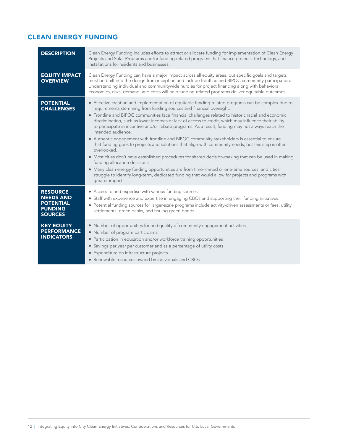# <span id="page-11-0"></span>CLEAN ENERGY FUNDING

| <b>DESCRIPTION</b>                                                                          | Clean Energy Funding includes efforts to attract or allocate funding for implementation of Clean Energy<br>Projects and Solar Programs and/or funding-related programs that finance projects, technology, and<br>installations for residents and businesses.                                                                                                                                                                                                                                                                                                                                                                                                                                                                                                                                                                                                                                                                                                                                                                                                                                                     |
|---------------------------------------------------------------------------------------------|------------------------------------------------------------------------------------------------------------------------------------------------------------------------------------------------------------------------------------------------------------------------------------------------------------------------------------------------------------------------------------------------------------------------------------------------------------------------------------------------------------------------------------------------------------------------------------------------------------------------------------------------------------------------------------------------------------------------------------------------------------------------------------------------------------------------------------------------------------------------------------------------------------------------------------------------------------------------------------------------------------------------------------------------------------------------------------------------------------------|
| <b>EQUITY IMPACT</b><br><b>OVERVIEW</b>                                                     | Clean Energy Funding can have a major impact across all equity areas, but specific goals and targets<br>must be built into the design from inception and include frontline and BIPOC community participation.<br>Understanding individual and communitywide hurdles for project financing along with behavioral<br>economics, risks, demand, and costs will help funding-related programs deliver equitable outcomes.                                                                                                                                                                                                                                                                                                                                                                                                                                                                                                                                                                                                                                                                                            |
| <b>POTENTIAL</b><br><b>CHALLENGES</b>                                                       | • Effective creation and implementation of equitable funding-related programs can be complex due to<br>requirements stemming from funding sources and financial oversight.<br>• Frontline and BIPOC communities face financial challenges related to historic racial and economic<br>discrimination, such as lower incomes or lack of access to credit, which may influence their ability<br>to participate in incentive and/or rebate programs. As a result, funding may not always reach the<br>intended audience.<br>• Authentic engagement with frontline and BIPOC community stakeholders is essential to ensure<br>that funding goes to projects and solutions that align with community needs, but this step is often<br>overlooked.<br>• Most cities don't have established procedures for shared decision-making that can be used in making<br>funding allocation decisions.<br>• Many clean energy funding opportunities are from time-limited or one-time sources, and cities<br>struggle to identify long-term, dedicated funding that would allow for projects and programs with<br>greater impact. |
| <b>RESOURCE</b><br><b>NEEDS AND</b><br><b>POTENTIAL</b><br><b>FUNDING</b><br><b>SOURCES</b> | • Access to and expertise with various funding sources.<br>• Staff with experience and expertise in engaging CBOs and supporting their funding initiatives.<br>• Potential funding sources for larger-scale programs include activity-driven assessments or fees, utility<br>settlements, green banks, and issuing green bonds.                                                                                                                                                                                                                                                                                                                                                                                                                                                                                                                                                                                                                                                                                                                                                                                  |
| <b>KEY EQUITY</b><br><b>PERFORMANCE</b><br><b>INDICATORS</b>                                | • Number of opportunities for and quality of community engagement activities<br>• Number of program participants<br>• Participation in education and/or workforce training opportunities<br>• Savings per year per customer and as a percentage of utility costs<br>• Expenditure on infrastructure projects<br>• Renewable resources owned by individuals and CBOs                                                                                                                                                                                                                                                                                                                                                                                                                                                                                                                                                                                                                                                                                                                                              |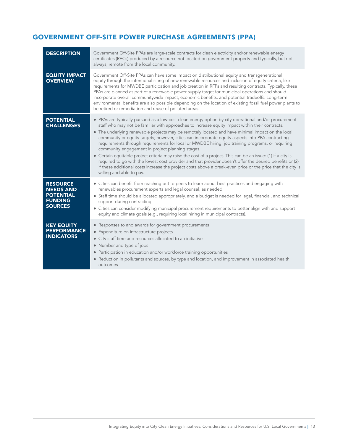## <span id="page-12-0"></span>GOVERNMENT OFF-SITE POWER PURCHASE AGREEMENTS (PPA)

| <b>DESCRIPTION</b>                                                                          | Government Off-Site PPAs are large-scale contracts for clean electricity and/or renewable energy<br>certificates (RECs) produced by a resource not located on government property and typically, but not<br>always, remote from the local community.                                                                                                                                                                                                                                                                                                                                                                                                                                                                                                                                                                                                                                                                                            |
|---------------------------------------------------------------------------------------------|-------------------------------------------------------------------------------------------------------------------------------------------------------------------------------------------------------------------------------------------------------------------------------------------------------------------------------------------------------------------------------------------------------------------------------------------------------------------------------------------------------------------------------------------------------------------------------------------------------------------------------------------------------------------------------------------------------------------------------------------------------------------------------------------------------------------------------------------------------------------------------------------------------------------------------------------------|
| <b>EQUITY IMPACT</b><br><b>OVERVIEW</b>                                                     | Government Off-Site PPAs can have some impact on distributional equity and transgenerational<br>equity through the intentional siting of new renewable resources and inclusion of equity criteria, like<br>requirements for MWDBE participation and job creation in RFPs and resulting contracts. Typically, these<br>PPAs are planned as part of a renewable power supply target for municipal operations and should<br>incorporate overall communitywide impact, economic benefits, and potential tradeoffs. Long-term<br>environmental benefits are also possible depending on the location of existing fossil fuel power plants to<br>be retired or remediation and reuse of polluted areas.                                                                                                                                                                                                                                                |
| <b>POTENTIAL</b><br><b>CHALLENGES</b>                                                       | • PPAs are typically pursued as a low-cost clean energy option by city operational and/or procurement<br>staff who may not be familiar with approaches to increase equity impact within their contracts.<br>• The underlying renewable projects may be remotely located and have minimal impact on the local<br>community or equity targets; however, cities can incorporate equity aspects into PPA contracting<br>requirements through requirements for local or MWDBE hiring, job training programs, or requiring<br>community engagement in project planning stages.<br>• Certain equitable project criteria may raise the cost of a project. This can be an issue: (1) if a city is<br>required to go with the lowest cost provider and that provider doesn't offer the desired benefits or (2)<br>if these additional costs increase the project costs above a break-even price or the price that the city is<br>willing and able to pay. |
| <b>RESOURCE</b><br><b>NEEDS AND</b><br><b>POTENTIAL</b><br><b>FUNDING</b><br><b>SOURCES</b> | • Cities can benefit from reaching out to peers to learn about best practices and engaging with<br>renewables procurement experts and legal counsel, as needed.<br>• Staff time should be allocated appropriately, and a budget is needed for legal, financial, and technical<br>support during contracting.<br>• Cities can consider modifying municipal procurement requirements to better align with and support<br>equity and climate goals (e.g., requiring local hiring in municipal contracts).                                                                                                                                                                                                                                                                                                                                                                                                                                          |
| <b>KEY EQUITY</b><br><b>PERFORMANCE</b><br><b>INDICATORS</b>                                | • Responses to and awards for government procurements<br>• Expenditure on infrastructure projects<br>• City staff time and resources allocated to an initiative<br>• Number and type of jobs<br>• Participation in education and/or workforce training opportunities<br>• Reduction in pollutants and sources, by type and location, and improvement in associated health<br>outcomes                                                                                                                                                                                                                                                                                                                                                                                                                                                                                                                                                           |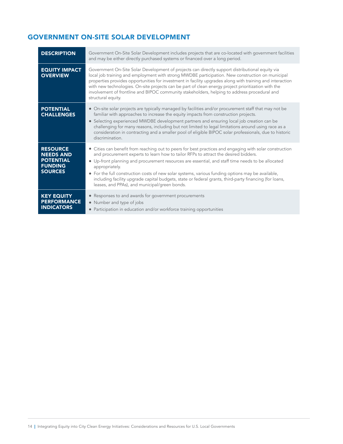# <span id="page-13-0"></span>GOVERNMENT ON-SITE SOLAR DEVELOPMENT

| <b>DESCRIPTION</b>                                                                          | Government On-Site Solar Development includes projects that are co-located with government facilities<br>and may be either directly purchased systems or financed over a long period.                                                                                                                                                                                                                                                                                                                                                                                                 |
|---------------------------------------------------------------------------------------------|---------------------------------------------------------------------------------------------------------------------------------------------------------------------------------------------------------------------------------------------------------------------------------------------------------------------------------------------------------------------------------------------------------------------------------------------------------------------------------------------------------------------------------------------------------------------------------------|
| <b>EQUITY IMPACT</b><br><b>OVERVIEW</b>                                                     | Government On-Site Solar Development of projects can directly support distributional equity via<br>local job training and employment with strong MWDBE participation. New construction on municipal<br>properties provides opportunities for investment in facility upgrades along with training and interaction<br>with new technologies. On-site projects can be part of clean energy project prioritization with the<br>involvement of frontline and BIPOC community stakeholders, helping to address procedural and<br>structural equity.                                         |
| <b>POTENTIAL</b><br><b>CHALLENGES</b>                                                       | • On-site solar projects are typically managed by facilities and/or procurement staff that may not be<br>familiar with approaches to increase the equity impacts from construction projects.<br>• Selecting experienced MWDBE development partners and ensuring local job creation can be<br>challenging for many reasons, including but not limited to legal limitations around using race as a<br>consideration in contracting and a smaller pool of eligible BIPOC solar professionals, due to historic<br>discrimination.                                                         |
| <b>RESOURCE</b><br><b>NEEDS AND</b><br><b>POTENTIAL</b><br><b>FUNDING</b><br><b>SOURCES</b> | • Cities can benefit from reaching out to peers for best practices and engaging with solar construction<br>and procurement experts to learn how to tailor RFPs to attract the desired bidders.<br>• Up-front planning and procurement resources are essential, and staff time needs to be allocated<br>appropriately.<br>• For the full construction costs of new solar systems, various funding options may be available,<br>including facility upgrade capital budgets, state or federal grants, third-party financing (for loans,<br>leases, and PPAs), and municipal/green bonds. |
| <b>KEY EQUITY</b><br><b>PERFORMANCE</b><br><b>INDICATORS</b>                                | • Responses to and awards for government procurements<br>• Number and type of jobs<br>• Participation in education and/or workforce training opportunities                                                                                                                                                                                                                                                                                                                                                                                                                            |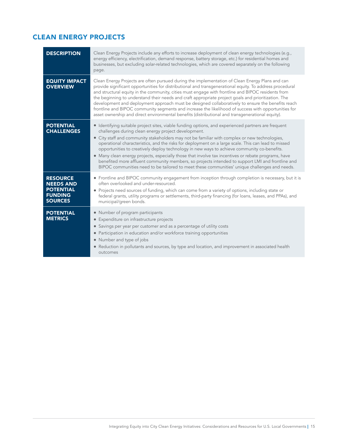## <span id="page-14-0"></span>CLEAN ENERGY PROJECTS

| <b>DESCRIPTION</b>                                                                          | Clean Energy Projects include any efforts to increase deployment of clean energy technologies (e.g.,<br>energy efficiency, electrification, demand response, battery storage, etc.) for residential homes and<br>businesses, but excluding solar-related technologies, which are covered separately on the following<br>page.                                                                                                                                                                                                                                                                                                                                                                                                                                                 |
|---------------------------------------------------------------------------------------------|-------------------------------------------------------------------------------------------------------------------------------------------------------------------------------------------------------------------------------------------------------------------------------------------------------------------------------------------------------------------------------------------------------------------------------------------------------------------------------------------------------------------------------------------------------------------------------------------------------------------------------------------------------------------------------------------------------------------------------------------------------------------------------|
| <b>EQUITY IMPACT</b><br><b>OVERVIEW</b>                                                     | Clean Energy Projects are often pursued during the implementation of Clean Energy Plans and can<br>provide significant opportunities for distributional and transgenerational equity. To address procedural<br>and structural equity in the community, cities must engage with frontline and BIPOC residents from<br>the beginning to understand their needs and craft appropriate project goals and prioritization. The<br>development and deployment approach must be designed collaboratively to ensure the benefits reach<br>frontline and BIPOC community segments and increase the likelihood of success with opportunities for<br>asset ownership and direct environmental benefits (distributional and transgenerational equity).                                     |
| <b>POTENTIAL</b><br><b>CHALLENGES</b>                                                       | • Identifying suitable project sites, viable funding options, and experienced partners are frequent<br>challenges during clean energy project development.<br>• City staff and community stakeholders may not be familiar with complex or new technologies,<br>operational characteristics, and the risks for deployment on a large scale. This can lead to missed<br>opportunities to creatively deploy technology in new ways to achieve community co-benefits.<br>• Many clean energy projects, especially those that involve tax incentives or rebate programs, have<br>benefited more affluent community members, so projects intended to support LMI and frontline and<br>BIPOC communities need to be tailored to meet these communities' unique challenges and needs. |
| <b>RESOURCE</b><br><b>NEEDS AND</b><br><b>POTENTIAL</b><br><b>FUNDING</b><br><b>SOURCES</b> | • Frontline and BIPOC community engagement from inception through completion is necessary, but it is<br>often overlooked and under-resourced.<br>• Projects need sources of funding, which can come from a variety of options, including state or<br>federal grants, utility programs or settlements, third-party financing (for loans, leases, and PPAs), and<br>municipal/green bonds.                                                                                                                                                                                                                                                                                                                                                                                      |
| <b>POTENTIAL</b><br><b>METRICS</b>                                                          | • Number of program participants<br>• Expenditure on infrastructure projects<br>• Savings per year per customer and as a percentage of utility costs<br>• Participation in education and/or workforce training opportunities<br>• Number and type of jobs<br>• Reduction in pollutants and sources, by type and location, and improvement in associated health<br>outcomes                                                                                                                                                                                                                                                                                                                                                                                                    |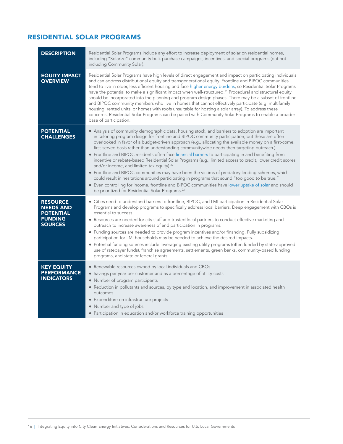# <span id="page-15-0"></span>RESIDENTIAL SOLAR PROGRAMS

| <b>DESCRIPTION</b>                                                                          | Residential Solar Programs include any effort to increase deployment of solar on residential homes,<br>including "Solarize" community bulk purchase campaigns, incentives, and special programs (but not<br>including Community Solar).                                                                                                                                                                                                                                                                                                                                                                                                                                                                                                                                                                                                                                                                                                                                                                                                                                 |
|---------------------------------------------------------------------------------------------|-------------------------------------------------------------------------------------------------------------------------------------------------------------------------------------------------------------------------------------------------------------------------------------------------------------------------------------------------------------------------------------------------------------------------------------------------------------------------------------------------------------------------------------------------------------------------------------------------------------------------------------------------------------------------------------------------------------------------------------------------------------------------------------------------------------------------------------------------------------------------------------------------------------------------------------------------------------------------------------------------------------------------------------------------------------------------|
| <b>EQUITY IMPACT</b><br><b>OVERVIEW</b>                                                     | Residential Solar Programs have high levels of direct engagement and impact on participating individuals<br>and can address distributional equity and transgenerational equity. Frontline and BIPOC communities<br>tend to live in older, less efficient housing and face higher energy burdens, so Residential Solar Programs<br>have the potential to make a significant impact when well-structured. <sup>21</sup> Procedural and structural equity<br>should be incorporated into the planning and program design phases. There may be a subset of frontline<br>and BIPOC community members who live in homes that cannot effectively participate (e.g. multifamily<br>housing, rented units, or homes with roofs unsuitable for hosting a solar array). To address these<br>concerns, Residential Solar Programs can be paired with Community Solar Programs to enable a broader<br>base of participation.                                                                                                                                                         |
| <b>POTENTIAL</b><br><b>CHALLENGES</b>                                                       | • Analysis of community demographic data, housing stock, and barriers to adoption are important<br>in tailoring program design for frontline and BIPOC community participation, but these are often<br>overlooked in favor of a budget-driven approach (e.g., allocating the available money on a first-come,<br>first-served basis rather than understanding communitywide needs then targeting outreach.)<br>• Frontline and BIPOC residents often face financial barriers to participating in and benefiting from<br>incentive or rebate-based Residential Solar Programs (e.g., limited access to credit, lower credit scores<br>and/or income, and limited tax equity). <sup>22</sup><br>• Frontline and BIPOC communities may have been the victims of predatory lending schemes, which<br>could result in hesitations around participating in programs that sound "too good to be true."<br>• Even controlling for income, frontline and BIPOC communities have lower uptake of solar and should<br>be prioritized for Residential Solar Programs. <sup>23</sup> |
| <b>RESOURCE</b><br><b>NEEDS AND</b><br><b>POTENTIAL</b><br><b>FUNDING</b><br><b>SOURCES</b> | • Cities need to understand barriers to frontline, BIPOC, and LMI participation in Residential Solar<br>Programs and develop programs to specifically address local barriers. Deep engagement with CBOs is<br>essential to success.<br>• Resources are needed for city staff and trusted local partners to conduct effective marketing and<br>outreach to increase awareness of and participation in programs.<br>• Funding sources are needed to provide program incentives and/or financing. Fully subsidizing<br>participation for LMI households may be needed to achieve the desired impacts.<br>• Potential funding sources include leveraging existing utility programs (often funded by state-approved<br>use of ratepayer funds), franchise agreements, settlements, green banks, community-based funding<br>programs, and state or federal grants.                                                                                                                                                                                                            |
| <b>KEY EQUITY</b><br><b>PERFORMANCE</b><br><b>INDICATORS</b>                                | • Renewable resources owned by local individuals and CBOs<br>• Savings per year per customer and as a percentage of utility costs<br>• Number of program participants<br>• Reduction in pollutants and sources, by type and location, and improvement in associated health<br>outcomes<br>• Expenditure on infrastructure projects<br>• Number and type of jobs<br>• Participation in education and/or workforce training opportunities                                                                                                                                                                                                                                                                                                                                                                                                                                                                                                                                                                                                                                 |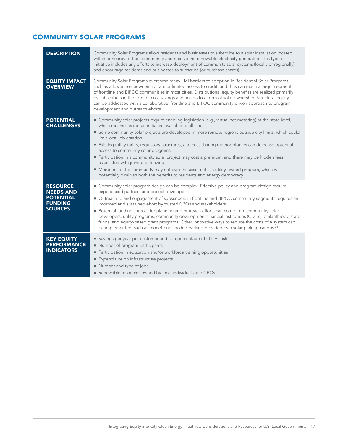# <span id="page-16-0"></span>COMMUNITY SOLAR PROGRAMS

| <b>DESCRIPTION</b>                                                                          | Community Solar Programs allow residents and businesses to subscribe to a solar installation located<br>within or nearby to their community and receive the renewable electricity generated. This type of<br>initiative includes any efforts to increase deployment of community solar systems (locally or regionally)<br>and encourage residents and businesses to subscribe (or purchase shares).                                                                                                                                                                                                                                                                                                                                                                                     |
|---------------------------------------------------------------------------------------------|-----------------------------------------------------------------------------------------------------------------------------------------------------------------------------------------------------------------------------------------------------------------------------------------------------------------------------------------------------------------------------------------------------------------------------------------------------------------------------------------------------------------------------------------------------------------------------------------------------------------------------------------------------------------------------------------------------------------------------------------------------------------------------------------|
| <b>EQUITY IMPACT</b><br><b>OVERVIEW</b>                                                     | Community Solar Programs overcome many LMI barriers to adoption in Residential Solar Programs,<br>such as a lower homeownership rate or limited access to credit, and thus can reach a larger segment<br>of frontline and BIPOC communities in most cities. Distributional equity benefits are realized primarily<br>by subscribers in the form of cost savings and access to a form of solar ownership. Structural equity<br>can be addressed with a collaborative, frontline and BIPOC community-driven approach to program<br>development and outreach efforts.                                                                                                                                                                                                                      |
| <b>POTENTIAL</b><br><b>CHALLENGES</b>                                                       | • Community solar projects require enabling legislation (e.g., virtual net metering) at the state level,<br>which means it is not an initiative available to all cities.<br>• Some community solar projects are developed in more remote regions outside city limits, which could<br>limit local job creation.<br>• Existing utility tariffs, regulatory structures, and cost-sharing methodologies can decrease potential<br>access to community solar programs.<br>• Participation in a community solar project may cost a premium, and there may be hidden fees<br>associated with joining or leaving.<br>• Members of the community may not own the asset if it is a utility-owned program, which will<br>potentially diminish both the benefits to residents and energy democracy. |
| <b>RESOURCE</b><br><b>NEEDS AND</b><br><b>POTENTIAL</b><br><b>FUNDING</b><br><b>SOURCES</b> | • Community solar program design can be complex. Effective policy and program design require<br>experienced partners and project developers.<br>• Outreach to and engagement of subscribers in frontline and BIPOC community segments requires an<br>informed and sustained effort by trusted CBOs and stakeholders.<br>• Potential funding sources for planning and outreach efforts can come from community solar<br>developers, utility programs, community development financial institutions (CDFIs), philanthropy, state<br>funds, and equity-based grant programs. Other innovative ways to reduce the costs of a system can<br>be implemented, such as monetizing shaded parking provided by a solar parking canopy. <sup>24</sup>                                              |
| <b>KEY EQUITY</b><br><b>PERFORMANCE</b><br><b>INDICATORS</b>                                | • Savings per year per customer and as a percentage of utility costs<br>• Number of program participants<br>• Participation in education and/or workforce training opportunities<br>• Expenditure on infrastructure projects<br>• Number and type of jobs<br>• Renewable resources owned by local individuals and CBOs                                                                                                                                                                                                                                                                                                                                                                                                                                                                  |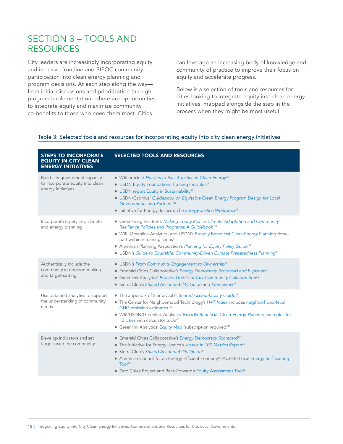# <span id="page-17-0"></span>SECTION 3 – TOOLS AND RESOURCES

City leaders are increasingly incorporating equity and inclusive frontline and BIPOC community participation into clean energy planning and program decisions. At each step along the way from initial discussions and prioritization through program implementation—there are opportunities to integrate equity and maximize community co-benefits to those who need them most. Cities

can leverage an increasing body of knowledge and community of practice to improve their focus on equity and accelerate progress.

Below is a selection of tools and resources for cities looking to integrate equity into clean energy initiatives, mapped alongside the step in the process when they might be most useful.

#### Table 3: Selected tools and resources for incorporating equity into city clean energy initiatives

| <b>STEPS TO INCORPORATE</b><br><b>EQUITY IN CITY CLEAN</b><br><b>ENERGY INITIATIVES</b>  | <b>SELECTED TOOLS AND RESOURCES</b>                                                                                                                                                                                                                                                                                                                                                                                                                           |
|------------------------------------------------------------------------------------------|---------------------------------------------------------------------------------------------------------------------------------------------------------------------------------------------------------------------------------------------------------------------------------------------------------------------------------------------------------------------------------------------------------------------------------------------------------------|
| Build city government capacity<br>to incorporate equity into clean<br>energy initiatives | • WRI article 3 Hurdles to Racial Justice in Clean Energy <sup>25</sup><br>• USDN Equity Foundations Training modules <sup>26</sup><br>• USDN report Equity in Sustainability <sup>27</sup><br>· USDN/Cadmus' Guidebook on Equitable Clean Energy Program Design for Local<br>Governments and Partners <sup>28</sup><br>• Initiative for Energy Justice's The Energy Justice Workbook <sup>29</sup>                                                           |
| Incorporate equity into climate<br>and energy planning                                   | • Greenlining Institute's Making Equity Real in Climate Adaptation and Community<br>Resilience Policies and Programs: A Guidebook 30<br>• WRI, Greenlink Analytics, and USDN's Broadly Beneficial Clean Energy Planning three-<br>part webinar training series <sup>31</sup><br>• American Planning Association's Planning for Equity Policy Guide <sup>32</sup><br>• USDN's Guide to Equitable, Community-Driven Climate Preparedness Planning <sup>33</sup> |
| Authentically include the<br>community in decision-making<br>and target-setting          | • USDN's From Community Engagement to Ownership <sup>34</sup><br>• Emerald Cities Collaborative's Energy Democracy Scorecard and Flipbook <sup>35</sup><br>• Greenlink Analytics' Process Guide for City-Community Collaboration <sup>36</sup><br>• Sierra Club's Shared Accountability Guide and Framework <sup>37</sup>                                                                                                                                     |
| Use data and analytics to support<br>the understanding of community<br>needs             | • The appendix of Sierra Club's Shared Accountability Guide <sup>38</sup><br>• The Center for Neighborhood Technology's H+T Index includes neighborhood-level<br>GHG emission estimates <sup>39</sup><br>· WRI/USDN/Greenlink Analytics' Broadly Beneficial Clean Energy Planning examples for<br>12 cities with calculator tools <sup>40</sup><br>• Greenlink Analytics' Equity Map (subscription required) <sup>41</sup>                                    |
| Develop indicators and set<br>targets with the community                                 | • Emerald Cities Collaborative's Energy Democracy Scorecard <sup>42</sup><br>• The Initiative for Energy Justice's Justice in 100 Metrics Report <sup>43</sup><br>• Sierra Club's Shared Accountability Guide <sup>44</sup><br>• American Council for an Energy-Efficient Economy' (ACEEE) Local Energy Self-Scoring<br>Too <sup>45</sup><br>• Zero Cities Project and Race Forward's Equity Assessment Tool <sup>46</sup>                                    |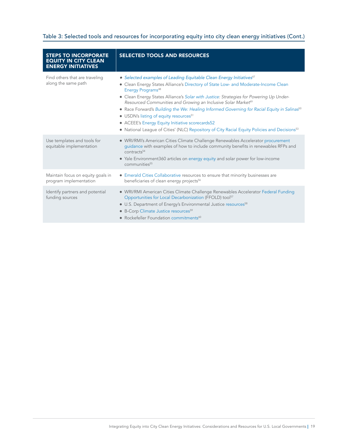#### Table 3: Selected tools and resources for incorporating equity into city clean energy initiatives (Cont.)

| <b>STEPS TO INCORPORATE</b><br><b>EQUITY IN CITY CLEAN</b><br><b>ENERGY INITIATIVES</b> | <b>SELECTED TOOLS AND RESOURCES</b>                                                                                                                                                                                                                                                                                                                                                                                                                                                                                                                                                                                                                                                                           |
|-----------------------------------------------------------------------------------------|---------------------------------------------------------------------------------------------------------------------------------------------------------------------------------------------------------------------------------------------------------------------------------------------------------------------------------------------------------------------------------------------------------------------------------------------------------------------------------------------------------------------------------------------------------------------------------------------------------------------------------------------------------------------------------------------------------------|
| Find others that are traveling<br>along the same path                                   | • Selected examples of Leading Equitable Clean Energy Initiatives <sup>47</sup><br>• Clean Energy States Alliance's Directory of State Low- and Moderate-Income Clean<br>Energy Programs <sup>48</sup><br>• Clean Energy States Alliance's Solar with Justice: Strategies for Powering Up Under-<br>Resourced Communities and Growing an Inclusive Solar Market <sup>49</sup><br>• Race Forward's Building the We: Healing Informed Governing for Racial Equity in Salinas <sup>50</sup><br>• USDN's listing of equity resources <sup>51</sup><br>• ACEEE's Energy Equity Initiative scorecards52<br>• National League of Cities' (NLC) Repository of City Racial Equity Policies and Decisions <sup>53</sup> |
| Use templates and tools for<br>equitable implementation                                 | • WRI/RMI's American Cities Climate Challenge Renewables Accelerator procurement<br>guidance with examples of how to include community benefits in renewables RFPs and<br>contracts <sup>54</sup><br>• Yale Environment360 articles on energy equity and solar power for low-income<br>communities <sup>55</sup>                                                                                                                                                                                                                                                                                                                                                                                              |
| Maintain focus on equity goals in<br>program implementation                             | • Emerald Cities Collaborative resources to ensure that minority businesses are<br>beneficiaries of clean energy projects <sup>56</sup>                                                                                                                                                                                                                                                                                                                                                                                                                                                                                                                                                                       |
| Identify partners and potential<br>funding sources                                      | • WRI/RMI American Cities Climate Challenge Renewables Accelerator Federal Funding<br>Opportunities for Local Decarbonization (FFOLD) tool <sup>57</sup><br>• U.S. Department of Energy's Environmental Justice resources <sup>58</sup><br>• B-Corp Climate Justice resources <sup>59</sup><br>• Rockefeller Foundation commitments <sup>60</sup>                                                                                                                                                                                                                                                                                                                                                             |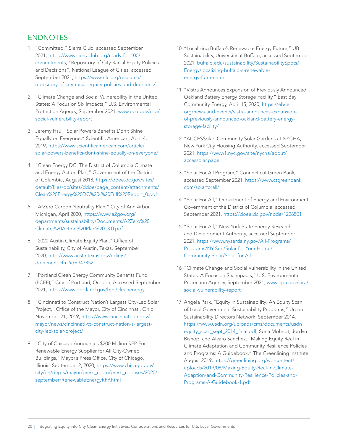## <span id="page-19-0"></span>**ENDNOTES**

- 1 "Committed," Sierra Club, accessed September 2021, [https://www.sierraclub.org/ready-for-100/](https://www.sierraclub.org/ready-for-100/commitments) [commitments;](https://www.sierraclub.org/ready-for-100/commitments) "Repository of City Racial Equity Policies and Decisions", National League of Cities, accessed September 2021, [https://www.nlc.org/resource/](https://www.nlc.org/resource/repository-of-city-racial-equity-policies-and-decisions/) [repository-of-city-racial-equity-policies-and-decisions/](https://www.nlc.org/resource/repository-of-city-racial-equity-policies-and-decisions/)
- 2 "Climate Change and Social Vulnerability in the United States: A Focus on Six Impacts," U.S. Environmental Protection Agency, September 2021, [www.epa.gov/cira/](http://www.epa.gov/cira/social-vulnerability-report) [social-vulnerability-report](http://www.epa.gov/cira/social-vulnerability-report)
- 3 Jeremy Hsu, "Solar Power's Benefits Don't Shine Equally on Everyone," Scientific American, April 4, 2019, [https://www.scientificamerican.com/article/](https://www.scientificamerican.com/article/solar-powers-benefits-dont-shine-equally-on-everyone/) [solar-powers-benefits-dont-shine-equally-on-everyone/](https://www.scientificamerican.com/article/solar-powers-benefits-dont-shine-equally-on-everyone/)
- 4 "Clean Energy DC: The District of Columbia Climate and Energy Action Plan," Government of the District of Columbia, August 2018, [https://doee.dc.gov/sites/](https://doee.dc.gov/sites/default/files/dc/sites/ddoe/page_content/attachments/Clean%20Energy%20DC%20-%20Full%20Report_0.pdf) [default/files/dc/sites/ddoe/page\\_content/attachments/](https://doee.dc.gov/sites/default/files/dc/sites/ddoe/page_content/attachments/Clean%20Energy%20DC%20-%20Full%20Report_0.pdf) [Clean%20Energy%20DC%20-%20Full%20Report\\_0.pdf](https://doee.dc.gov/sites/default/files/dc/sites/ddoe/page_content/attachments/Clean%20Energy%20DC%20-%20Full%20Report_0.pdf)
- 5 "A²Zero Carbon Neutrality Plan," City of Ann Arbor, Michigan, April 2020, [https://www.a2gov.org/](https://www.a2gov.org/departments/sustainability/Documents/A2Zero%20Climate%20Action%20Plan%20_3.0.pdf) [departments/sustainability/Documents/A2Zero%20](https://www.a2gov.org/departments/sustainability/Documents/A2Zero%20Climate%20Action%20Plan%20_3.0.pdf) [Climate%20Action%20Plan%20\\_3.0.pdf](https://www.a2gov.org/departments/sustainability/Documents/A2Zero%20Climate%20Action%20Plan%20_3.0.pdf)
- 6 "2020 Austin Climate Equity Plan," Office of Sustainability, City of Austin, Texas, September 2020, [http://www.austintexas.gov/edims/](http://www.austintexas.gov/edims/document.cfm?id=347852) [document.cfm?id=347852](http://www.austintexas.gov/edims/document.cfm?id=347852)
- 7 "Portland Clean Energy Community Benefits Fund (PCEF)," City of Portland, Oregon, Accessed September 2021,<https://www.portland.gov/bps/cleanenergy>
- 8 "Cincinnati to Construct Nation's Largest City-Led Solar Project," Office of the Mayor, City of Cincinnati, Ohio, November 21, 2019, [https://www.cincinnati-oh.gov/](https://www.cincinnati-oh.gov/mayor/news/cincinnati-to-construct-nation-s-largest-city-led-solar-project/) [mayor/news/cincinnati-to-construct-nation-s-largest](https://www.cincinnati-oh.gov/mayor/news/cincinnati-to-construct-nation-s-largest-city-led-solar-project/)[city-led-solar-project/](https://www.cincinnati-oh.gov/mayor/news/cincinnati-to-construct-nation-s-largest-city-led-solar-project/)
- 9 "City of Chicago Announces \$200 Million RFP For Renewable Energy Supplier for All City-Owned Buildings," Mayor's Press Office, City of Chicago, Illinois, September 2, 2020, [https://www.chicago.gov/](https://www.chicago.gov/city/en/depts/mayor/press_room/press_releases/2020/september/RenewableEnergyRFP.html) [city/en/depts/mayor/press\\_room/press\\_releases/2020/](https://www.chicago.gov/city/en/depts/mayor/press_room/press_releases/2020/september/RenewableEnergyRFP.html) [september/RenewableEnergyRFP.html](https://www.chicago.gov/city/en/depts/mayor/press_room/press_releases/2020/september/RenewableEnergyRFP.html)
- 10 "Localizing Buffalo's Renewable Energy Future," UB Sustainability, University at Buffalo, accessed September 2021, [buffalo.edu/sustainability/SustainabilitySpots/](http://buffalo.edu/sustainability/SustainabilitySpots/Energy/localizing-buffalo-s-renewable-energy-future.html) [Energy/localizing-buffalo-s-renewable](http://buffalo.edu/sustainability/SustainabilitySpots/Energy/localizing-buffalo-s-renewable-energy-future.html)[energy-future.html](http://buffalo.edu/sustainability/SustainabilitySpots/Energy/localizing-buffalo-s-renewable-energy-future.html)
- 11 "Vistra Announces Expansion of Previously Announced Oakland Battery Energy Storage Facility," East Bay Community Energy, April 15, 2020, [https://ebce.](https://ebce.org/news-and-events/vistra-announces-expansion-of-previously-announced-oakland-battery-energy-storage-facility/) [org/news-and-events/vistra-announces-expansion](https://ebce.org/news-and-events/vistra-announces-expansion-of-previously-announced-oakland-battery-energy-storage-facility/)[of-previously-announced-oakland-battery-energy](https://ebce.org/news-and-events/vistra-announces-expansion-of-previously-announced-oakland-battery-energy-storage-facility/)[storage-facility/](https://ebce.org/news-and-events/vistra-announces-expansion-of-previously-announced-oakland-battery-energy-storage-facility/)
- 12 "ACCESSolar: Community Solar Gardens at NYCHA," New York City Housing Authority, accessed September 2021, [https://www1.nyc.gov/site/nycha/about/](https://www1.nyc.gov/site/nycha/about/accessolar.page) [accessolar.page](https://www1.nyc.gov/site/nycha/about/accessolar.page)
- 13 "Solar For All Program," Connecticut Green Bank, accessed September 2021, [https://www.ctgreenbank.](https://www.ctgreenbank.com/solarforall/) [com/solarforall/](https://www.ctgreenbank.com/solarforall/)
- 14 "Solar For All," Department of Energy and Environment, Government of the District of Columbia, accessed September 2021, <https://doee.dc.gov/node/1226501>
- 15 "Solar For All," New York State Energy Research and Development Authority, accessed September 2021, [https://www.nyserda.ny.gov/All-Programs/](https://www.nyserda.ny.gov/All-Programs/Programs/NY-Sun/Solar-for-Your-Home/Community-Solar/Solar-for-All) [Programs/NY-Sun/Solar-for-Your-Home/](https://www.nyserda.ny.gov/All-Programs/Programs/NY-Sun/Solar-for-Your-Home/Community-Solar/Solar-for-All) [Community-Solar/Solar-for-All](https://www.nyserda.ny.gov/All-Programs/Programs/NY-Sun/Solar-for-Your-Home/Community-Solar/Solar-for-All)
- 16 "Climate Change and Social Vulnerability in the United States: A Focus on Six Impacts," U.S. Environmental Protection Agency, September 2021, [www.epa.gov/cira/](http://www.epa.gov/cira/social-vulnerability-report) [social-vulnerability-report](http://www.epa.gov/cira/social-vulnerability-report)
- 17 Angela Park, "Equity in Sustainability: An Equity Scan of Local Government Sustainability Programs," Urban Sustainability Directors Network, September 2014, [https://www.usdn.org/uploads/cms/documents/usdn\\_](https://www.usdn.org/uploads/cms/documents/usdn_equity_scan_sept_2014_final.pdf) [equity\\_scan\\_sept\\_2014\\_final.pdf](https://www.usdn.org/uploads/cms/documents/usdn_equity_scan_sept_2014_final.pdf); Sona Mohnot, Jordyn Bishop, and Alvaro Sanchez, "Making Equity Real in Climate Adaptation and Community Resilience Policies and Programs: A Guidebook," The Greenlining Institute, August 2019, [https://greenlining.org/wp-content/](https://greenlining.org/wp-content/uploads/2019/08/Making-Equity-Real-in-Climate-Adaption-and-Community-Resilience-Policies-and-Programs-A-Guidebook-1.pdf) [uploads/2019/08/Making-Equity-Real-in-Climate-](https://greenlining.org/wp-content/uploads/2019/08/Making-Equity-Real-in-Climate-Adaption-and-Community-Resilience-Policies-and-Programs-A-Guidebook-1.pdf)[Adaption-and-Community-Resilience-Policies-and-](https://greenlining.org/wp-content/uploads/2019/08/Making-Equity-Real-in-Climate-Adaption-and-Community-Resilience-Policies-and-Programs-A-Guidebook-1.pdf)[Programs-A-Guidebook-1.pdf](https://greenlining.org/wp-content/uploads/2019/08/Making-Equity-Real-in-Climate-Adaption-and-Community-Resilience-Policies-and-Programs-A-Guidebook-1.pdf)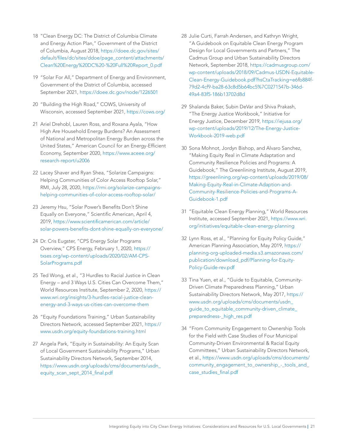- 18 "Clean Energy DC: The District of Columbia Climate and Energy Action Plan," Government of the District of Columbia, August 2018, [https://doee.dc.gov/sites/](https://doee.dc.gov/sites/default/files/dc/sites/ddoe/page_content/attachments/Clean%20Energy%20DC%20-%20Full%20Report_0.pdf) [default/files/dc/sites/ddoe/page\\_content/attachments/](https://doee.dc.gov/sites/default/files/dc/sites/ddoe/page_content/attachments/Clean%20Energy%20DC%20-%20Full%20Report_0.pdf) [Clean%20Energy%20DC%20-%20Full%20Report\\_0.pdf](https://doee.dc.gov/sites/default/files/dc/sites/ddoe/page_content/attachments/Clean%20Energy%20DC%20-%20Full%20Report_0.pdf)
- 19 "Solar For All," Department of Energy and Environment, Government of the District of Columbia, accessed September 2021,<https://doee.dc.gov/node/1226501>
- 20 "Building the High Road," COWS, University of Wisconsin, accessed September 2021,<https://cows.org/>
- 21 Ariel Drehobl, Lauren Ross, and Roxana Ayala, "How High Are Household Energy Burdens? An Assessment of National and Metropolitan Energy Burden across the United States," American Council for an Energy-Efficient Economy, September 2020, [https://www.aceee.org/](https://www.aceee.org/research-report/u2006) [research-report/u2006](https://www.aceee.org/research-report/u2006)
- 22 Lacey Shaver and Ryan Shea, "Solarize Campaigns: Helping Communities of Color Access Rooftop Solar," RMI, July 28, 2020, [https://rmi.org/solarize-campaigns](https://rmi.org/solarize-campaigns-helping-communities-of-color-access-rooftop-solar/)[helping-communities-of-color-access-rooftop-solar/](https://rmi.org/solarize-campaigns-helping-communities-of-color-access-rooftop-solar/)
- 23 Jeremy Hsu, "Solar Power's Benefits Don't Shine Equally on Everyone," Scientific American, April 4, 2019, [https://www.scientificamerican.com/article/](https://www.scientificamerican.com/article/solar-powers-benefits-dont-shine-equally-on-everyone/) [solar-powers-benefits-dont-shine-equally-on-everyone/](https://www.scientificamerican.com/article/solar-powers-benefits-dont-shine-equally-on-everyone/)
- 24 Dr. Cris Eugster, "CPS Energy Solar Programs Overview," CPS Energy, February 1, 2020, [https://](https://txses.org/wp-content/uploads/2020/02/AM-CPS-SolarPrograms.pdf) [txses.org/wp-content/uploads/2020/02/AM-CPS-](https://txses.org/wp-content/uploads/2020/02/AM-CPS-SolarPrograms.pdf)[SolarPrograms.pdf](https://txses.org/wp-content/uploads/2020/02/AM-CPS-SolarPrograms.pdf)
- 25 Ted Wong, et al., "3 Hurdles to Racial Justice in Clean Energy – and 3 Ways U.S. Cities Can Overcome Them," World Resources Institute, September 2, 2020, [https://](https://www.wri.org/insights/3-hurdles-racial-justice-clean-energy-and-3-ways-us-cities-can-overcome-them) [www.wri.org/insights/3-hurdles-racial-justice-clean](https://www.wri.org/insights/3-hurdles-racial-justice-clean-energy-and-3-ways-us-cities-can-overcome-them)[energy-and-3-ways-us-cities-can-overcome-them](https://www.wri.org/insights/3-hurdles-racial-justice-clean-energy-and-3-ways-us-cities-can-overcome-them)
- 26 "Equity Foundations Training," Urban Sustainability Directors Network, accessed September 2021, [https://](https://www.usdn.org/equity-foundations-training.html) [www.usdn.org/equity-foundations-training.html](https://www.usdn.org/equity-foundations-training.html)
- 27 Angela Park, "Equity in Sustainability: An Equity Scan of Local Government Sustainability Programs," Urban Sustainability Directors Network, September 2014, [https://www.usdn.org/uploads/cms/documents/usdn\\_](https://www.usdn.org/uploads/cms/documents/usdn_equity_scan_sept_2014_final.pdf) [equity\\_scan\\_sept\\_2014\\_final.pdf](https://www.usdn.org/uploads/cms/documents/usdn_equity_scan_sept_2014_final.pdf)
- 28 Julie Curti, Farrah Andersen, and Kathryn Wright, "A Guidebook on Equitable Clean Energy Program Design for Local Governments and Partners," The Cadmus Group and Urban Sustainability Directors Network, September 2018, [https://cadmusgroup.com/](https://cadmusgroup.com/wp-content/uploads/2018/09/Cadmus-USDN-Equitable-Clean-Energy-Guidebook.pdf?hsCtaTracking=e6fb884f-79d2-4cf9-ba28-63c8d5b64bc5%7C0271547b-346d-49a4-83f5-186b13702d8d) [wp-content/uploads/2018/09/Cadmus-USDN-Equitable-](https://cadmusgroup.com/wp-content/uploads/2018/09/Cadmus-USDN-Equitable-Clean-Energy-Guidebook.pdf?hsCtaTracking=e6fb884f-79d2-4cf9-ba28-63c8d5b64bc5%7C0271547b-346d-49a4-83f5-186b13702d8d)[Clean-Energy-Guidebook.pdf?hsCtaTracking=e6fb884f-](https://cadmusgroup.com/wp-content/uploads/2018/09/Cadmus-USDN-Equitable-Clean-Energy-Guidebook.pdf?hsCtaTracking=e6fb884f-79d2-4cf9-ba28-63c8d5b64bc5%7C0271547b-346d-49a4-83f5-186b13702d8d)[79d2-4cf9-ba28-63c8d5b64bc5%7C0271547b-346d-](https://cadmusgroup.com/wp-content/uploads/2018/09/Cadmus-USDN-Equitable-Clean-Energy-Guidebook.pdf?hsCtaTracking=e6fb884f-79d2-4cf9-ba28-63c8d5b64bc5%7C0271547b-346d-49a4-83f5-186b13702d8d)[49a4-83f5-186b13702d8d](https://cadmusgroup.com/wp-content/uploads/2018/09/Cadmus-USDN-Equitable-Clean-Energy-Guidebook.pdf?hsCtaTracking=e6fb884f-79d2-4cf9-ba28-63c8d5b64bc5%7C0271547b-346d-49a4-83f5-186b13702d8d)
- 29 Shalanda Baker, Subin DeVar and Shiva Prakash, "The Energy Justice Workbook," Initiative for Energy Justice, December 2019, [https://iejusa.org/](https://iejusa.org/wp-content/uploads/2019/12/The-Energy-Justice-Workbook-2019-web.pdf) [wp-content/uploads/2019/12/The-Energy-Justice-](https://iejusa.org/wp-content/uploads/2019/12/The-Energy-Justice-Workbook-2019-web.pdf)[Workbook-2019-web.pdf](https://iejusa.org/wp-content/uploads/2019/12/The-Energy-Justice-Workbook-2019-web.pdf)
- 30 Sona Mohnot, Jordyn Bishop, and Alvaro Sanchez, "Making Equity Real in Climate Adaptation and Community Resilience Policies and Programs: A Guidebook," The Greenlining Institute, August 2019, [https://greenlining.org/wp-content/uploads/2019/08/](https://greenlining.org/wp-content/uploads/2019/08/Making-Equity-Real-in-Climate-Adaption-and-Community-Resilience-Policies-and-Programs-A-Guidebook-1.pdf) [Making-Equity-Real-in-Climate-Adaption-and-](https://greenlining.org/wp-content/uploads/2019/08/Making-Equity-Real-in-Climate-Adaption-and-Community-Resilience-Policies-and-Programs-A-Guidebook-1.pdf)[Community-Resilience-Policies-and-Programs-A-](https://greenlining.org/wp-content/uploads/2019/08/Making-Equity-Real-in-Climate-Adaption-and-Community-Resilience-Policies-and-Programs-A-Guidebook-1.pdf)[Guidebook-1.pdf](https://greenlining.org/wp-content/uploads/2019/08/Making-Equity-Real-in-Climate-Adaption-and-Community-Resilience-Policies-and-Programs-A-Guidebook-1.pdf)
- 31 "Equitable Clean Energy Planning," World Resources Institute, accessed September 2021, [https://www.wri.](https://www.wri.org/initiatives/equitable-clean-energy-planning) [org/initiatives/equitable-clean-energy-planning](https://www.wri.org/initiatives/equitable-clean-energy-planning)
- 32 Lynn Ross, et al., "Planning for Equity Policy Guide," American Planning Association, May 2019, [https://](https://planning-org-uploaded-media.s3.amazonaws.com/publication/download_pdf/Planning-for-Equity-Policy-Guide-rev.pdf) [planning-org-uploaded-media.s3.amazonaws.com/](https://planning-org-uploaded-media.s3.amazonaws.com/publication/download_pdf/Planning-for-Equity-Policy-Guide-rev.pdf) [publication/download\\_pdf/Planning-for-Equity-](https://planning-org-uploaded-media.s3.amazonaws.com/publication/download_pdf/Planning-for-Equity-Policy-Guide-rev.pdf)[Policy-Guide-rev.pdf](https://planning-org-uploaded-media.s3.amazonaws.com/publication/download_pdf/Planning-for-Equity-Policy-Guide-rev.pdf)
- 33 Tina Yuen, et al., "Guide to Equitable, Community-Driven Climate Preparedness Planning," Urban Sustainability Directors Network, May 2017, [https://](https://www.usdn.org/uploads/cms/documents/usdn_guide_to_equitable_community-driven_climate_preparedness-_high_res.pdf) [www.usdn.org/uploads/cms/documents/usdn\\_](https://www.usdn.org/uploads/cms/documents/usdn_guide_to_equitable_community-driven_climate_preparedness-_high_res.pdf) quide to equitable community-driven climate [preparedness-\\_high\\_res.pdf](https://www.usdn.org/uploads/cms/documents/usdn_guide_to_equitable_community-driven_climate_preparedness-_high_res.pdf)
- 34 "From Community Engagement to Ownership Tools for the Field with Case Studies of Four Municipal Community-Driven Environmental & Racial Equity Committees," Urban Sustainability Directors Network, et al., [https://www.usdn.org/uploads/cms/documents/](https://www.usdn.org/uploads/cms/documents/community_engagement_to_ownership_-_tools_and_case_studies_final.pdf) [community\\_engagement\\_to\\_ownership\\_-\\_tools\\_and\\_](https://www.usdn.org/uploads/cms/documents/community_engagement_to_ownership_-_tools_and_case_studies_final.pdf) [case\\_studies\\_final.pdf](https://www.usdn.org/uploads/cms/documents/community_engagement_to_ownership_-_tools_and_case_studies_final.pdf)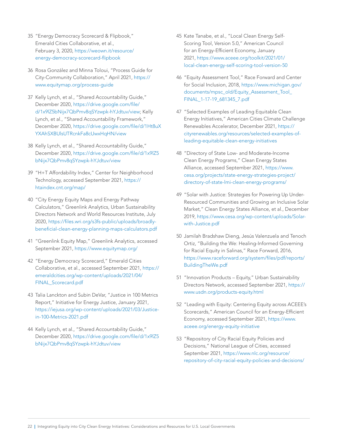- 35 "Energy Democracy Scorecard & Flipbook," Emerald Cities Collaborative, et al., February 3, 2020, [https://weown.it/resource/](https://weown.it/resource/energy-democracy-scorecard-flipbook) [energy-democracy-scorecard-flipbook](https://weown.it/resource/energy-democracy-scorecard-flipbook)
- 36 Rosa González and Minna Toloui, "Process Guide for City-Community Collaboration," April 2021, [https://](https://www.equitymap.org/process-guide) [www.equitymap.org/process-guide](https://www.equitymap.org/process-guide)
- 37 Kelly Lynch, et al., "Shared Accountability Guide," December 2020, [https://drive.google.com/file/](https://drive.google.com/file/d/1x9lZ5bNijx7QbPmv8qSYzwpk-hYJdtuv/view) [d/1x9lZ5bNijx7QbPmv8qSYzwpk-hYJdtuv/view](https://drive.google.com/file/d/1x9lZ5bNijx7QbPmv8qSYzwpk-hYJdtuv/view); Kelly Lynch, et al., "Shared Accountability Framework," December 2020, [https://drive.google.com/file/d/1Ht8uX](https://drive.google.com/file/d/1Ht8uXYXAhSXBUlsUTRcnkFa8cUwxHqHN/view) [YXAhSXBUlsUTRcnkFa8cUwxHqHN/view](https://drive.google.com/file/d/1Ht8uXYXAhSXBUlsUTRcnkFa8cUwxHqHN/view)
- 38 Kelly Lynch, et al., "Shared Accountability Guide," December 2020, [https://drive.google.com/file/d/1x9lZ5](https://drive.google.com/file/d/1x9lZ5bNijx7QbPmv8qSYzwpk-hYJdtuv/view) [bNijx7QbPmv8qSYzwpk-hYJdtuv/view](https://drive.google.com/file/d/1x9lZ5bNijx7QbPmv8qSYzwpk-hYJdtuv/view)
- 39 "H+T Affordability Index," Center for Neighborhood Technology, accessed September 2021, [https://](https://htaindex.cnt.org/map/) [htaindex.cnt.org/map/](https://htaindex.cnt.org/map/)
- 40 "City Energy Equity Maps and Energy Pathway Calculators," Greenlink Analytics, Urban Sustainability Directors Network and World Resources Institute, July 2020, [https://files.wri.org/s3fs-public/uploads/broadly](https://files.wri.org/s3fs-public/uploads/broadly-beneficial-clean-energy-planning-maps-calculators.pdf)[beneficial-clean-energy-planning-maps-calculators.pdf](https://files.wri.org/s3fs-public/uploads/broadly-beneficial-clean-energy-planning-maps-calculators.pdf)
- 41 "Greenlink Equity Map," Greenlink Analytics, accessed September 2021,<https://www.equitymap.org/>
- 42 "Energy Democracy Scorecard," Emerald Cities Collaborative, et al., accessed September 2021, [https://](https://emeraldcities.org/wp-content/uploads/2021/04/FINAL_Scorecard.pdf) [emeraldcities.org/wp-content/uploads/2021/04/](https://emeraldcities.org/wp-content/uploads/2021/04/FINAL_Scorecard.pdf) [FINAL\\_Scorecard.pdf](https://emeraldcities.org/wp-content/uploads/2021/04/FINAL_Scorecard.pdf)
- 43 Talia Lanckton and Subin DeVar, "Justice in 100 Metrics Report," Initiative for Energy Justice, January 2021, [https://iejusa.org/wp-content/uploads/2021/03/Justice](https://iejusa.org/wp-content/uploads/2021/03/Justice-in-100-Metrics-2021.pdf)[in-100-Metrics-2021.pdf](https://iejusa.org/wp-content/uploads/2021/03/Justice-in-100-Metrics-2021.pdf)
- 44 Kelly Lynch, et al., "Shared Accountability Guide," December 2020, [https://drive.google.com/file/d/1x9lZ5](https://drive.google.com/file/d/1x9lZ5bNijx7QbPmv8qSYzwpk-hYJdtuv/view) [bNijx7QbPmv8qSYzwpk-hYJdtuv/view](https://drive.google.com/file/d/1x9lZ5bNijx7QbPmv8qSYzwpk-hYJdtuv/view)
- 45 Kate Tanabe, et al., "Local Clean Energy Self-Scoring Tool, Version 5.0," American Council for an Energy-Efficient Economy, January 2021, [https://www.aceee.org/toolkit/2021/01/](https://www.aceee.org/toolkit/2021/01/local-clean-energy-self-scoring-tool-version-50) [local-clean-energy-self-scoring-tool-version-50](https://www.aceee.org/toolkit/2021/01/local-clean-energy-self-scoring-tool-version-50)
- 46 "Equity Assessment Tool," Race Forward and Center for Social Inclusion, 2018, [https://www.michigan.gov/](https://www.michigan.gov/documents/mpsc_old/Equity_Assessment_Tool_FINAL_1-17-19_681345_7.pdf) documents/mpsc\_old/Equity\_Assessment\_Tool [FINAL\\_1-17-19\\_681345\\_7.pdf](https://www.michigan.gov/documents/mpsc_old/Equity_Assessment_Tool_FINAL_1-17-19_681345_7.pdf)
- 47 "Selected Examples of Leading Equitable Clean Energy Initiatives," American Cities Climate Challenge Renewables Accelerator, December 2021, [https://](https://cityrenewables.org/resources/selected-examples-of-leading-equitable-clean-energy-initiatives) [cityrenewables.org/resources/selected-examples-of](https://cityrenewables.org/resources/selected-examples-of-leading-equitable-clean-energy-initiatives)[leading-equitable-clean-energy-initiatives](https://cityrenewables.org/resources/selected-examples-of-leading-equitable-clean-energy-initiatives)
- 48 "Directory of State Low- and Moderate-Income Clean Energy Programs," Clean Energy States Alliance, accessed September 2021, [https://www.](https://www.cesa.org/projects/state-energy-strategies-project/directory-of-state-lmi-clean-energy-programs/) [cesa.org/projects/state-energy-strategies-project/](https://www.cesa.org/projects/state-energy-strategies-project/directory-of-state-lmi-clean-energy-programs/) [directory-of-state-lmi-clean-energy-programs/](https://www.cesa.org/projects/state-energy-strategies-project/directory-of-state-lmi-clean-energy-programs/)
- 49 "Solar with Justice: Strategies for Powering Up Under-Resourced Communities and Growing an Inclusive Solar Market," Clean Energy States Alliance, et al., December 2019, [https://www.cesa.org/wp-content/uploads/Solar](https://www.cesa.org/wp-content/uploads/Solar-with-Justice.pdf)[with-Justice.pdf](https://www.cesa.org/wp-content/uploads/Solar-with-Justice.pdf)
- 50 Jamilah Bradshaw Dieng, Jesús Valenzuela and Tenoch Ortiz, "Building the We: Healing-Informed Governing for Racial Equity in Salinas," Race Forward, 2016, [https://www.raceforward.org/system/files/pdf/reports/](https://www.raceforward.org/system/files/pdf/reports/BuildingTheWe.pdf) [BuildingTheWe.pdf](https://www.raceforward.org/system/files/pdf/reports/BuildingTheWe.pdf)
- 51 "Innovation Products Equity," Urban Sustainability Directors Network, accessed September 2021, [https://](https://www.usdn.org/products-equity.html) [www.usdn.org/products-equity.html](https://www.usdn.org/products-equity.html)
- 52 "Leading with Equity: Centering Equity across ACEEE's Scorecards," American Council for an Energy-Efficient Economy, accessed September 2021, [https://www.](https://www.aceee.org/energy-equity-initiative) [aceee.org/energy-equity-initiative](https://www.aceee.org/energy-equity-initiative)
- 53 "Repository of City Racial Equity Policies and Decisions," National League of Cities, accessed September 2021, [https://www.nlc.org/resource/](https://www.nlc.org/resource/repository-of-city-racial-equity-policies-and-decisions/) [repository-of-city-racial-equity-policies-and-decisions/](https://www.nlc.org/resource/repository-of-city-racial-equity-policies-and-decisions/)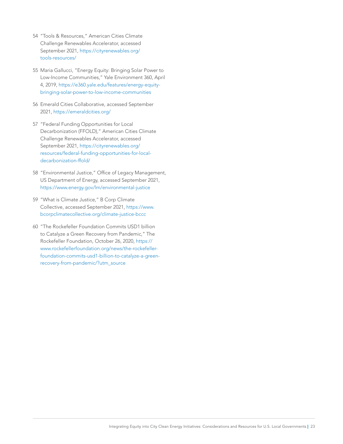- 54 "Tools & Resources," American Cities Climate Challenge Renewables Accelerator, accessed September 2021, [https://cityrenewables.org/](https://cityrenewables.org/tools-resources/) [tools-resources/](https://cityrenewables.org/tools-resources/)
- 55 Maria Gallucci, "Energy Equity: Bringing Solar Power to Low-Income Communities," Yale Environment 360, April 4, 2019, [https://e360.yale.edu/features/energy-equity](https://e360.yale.edu/features/energy-equity-bringing-solar-power-to-low-income-communities)[bringing-solar-power-to-low-income-communities](https://e360.yale.edu/features/energy-equity-bringing-solar-power-to-low-income-communities)
- 56 Emerald Cities Collaborative, accessed September 2021,<https://emeraldcities.org/>
- 57 "Federal Funding Opportunities for Local Decarbonization (FFOLD)," American Cities Climate Challenge Renewables Accelerator, accessed September 2021, [https://cityrenewables.org/](https://cityrenewables.org/resources/federal-funding-opportunities-for-local-decarbonization-ffold/) [resources/federal-funding-opportunities-for-local](https://cityrenewables.org/resources/federal-funding-opportunities-for-local-decarbonization-ffold/)[decarbonization-ffold/](https://cityrenewables.org/resources/federal-funding-opportunities-for-local-decarbonization-ffold/)
- 58 "Environmental Justice," Office of Legacy Management, US Department of Energy, accessed September 2021, <https://www.energy.gov/lm/environmental-justice>
- 59 "What is Climate Justice," B Corp Climate Collective, accessed September 2021, [https://www.](https://www.bcorpclimatecollective.org/climate-justice-bccc) [bcorpclimatecollective.org/climate-justice-bccc](https://www.bcorpclimatecollective.org/climate-justice-bccc)
- 60 "The Rockefeller Foundation Commits USD1 billion to Catalyze a Green Recovery from Pandemic," The Rockefeller Foundation, October 26, 2020, [https://](https://www.rockefellerfoundation.org/news/the-rockefeller-foundation-commits-usd1-billion-to-catalyze-a-green-recovery-from-pandemic/?utm_source) [www.rockefellerfoundation.org/news/the-rockefeller](https://www.rockefellerfoundation.org/news/the-rockefeller-foundation-commits-usd1-billion-to-catalyze-a-green-recovery-from-pandemic/?utm_source)[foundation-commits-usd1-billion-to-catalyze-a-green](https://www.rockefellerfoundation.org/news/the-rockefeller-foundation-commits-usd1-billion-to-catalyze-a-green-recovery-from-pandemic/?utm_source)[recovery-from-pandemic/?utm\\_source](https://www.rockefellerfoundation.org/news/the-rockefeller-foundation-commits-usd1-billion-to-catalyze-a-green-recovery-from-pandemic/?utm_source)